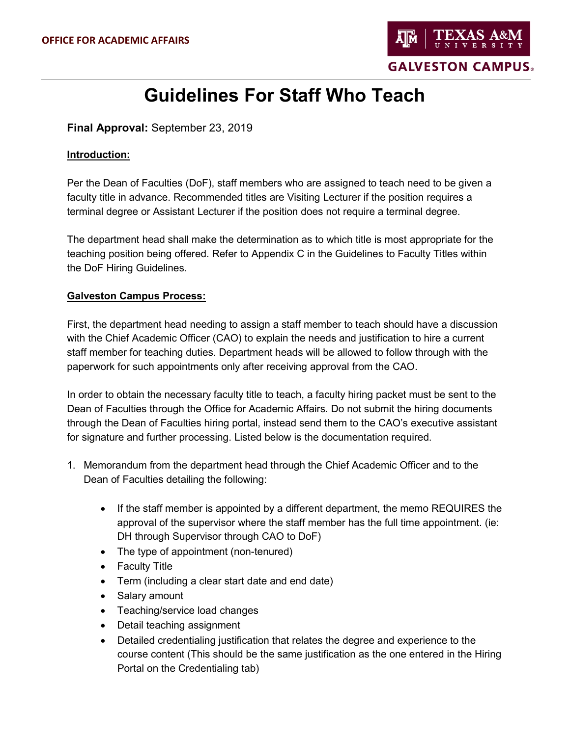

# **Guidelines For Staff Who Teach**

**Final Approval:** September 23, 2019

### **Introduction:**

Per the Dean of Faculties (DoF), staff members who are assigned to teach need to be given a faculty title in advance. Recommended titles are Visiting Lecturer if the position requires a terminal degree or Assistant Lecturer if the position does not require a terminal degree.

The department head shall make the determination as to which title is most appropriate for the teaching position being offered. Refer to Appendix C in the Guidelines to Faculty Titles within the DoF Hiring Guidelines.

# **Galveston Campus Process:**

First, the department head needing to assign a staff member to teach should have a discussion with the Chief Academic Officer (CAO) to explain the needs and justification to hire a current staff member for teaching duties. Department heads will be allowed to follow through with the paperwork for such appointments only after receiving approval from the CAO.

In order to obtain the necessary faculty title to teach, a faculty hiring packet must be sent to the Dean of Faculties through the Office for Academic Affairs. Do not submit the hiring documents through the Dean of Faculties hiring portal, instead send them to the CAO's executive assistant for signature and further processing. Listed below is the documentation required.

- 1. Memorandum from the department head through the Chief Academic Officer and to the Dean of Faculties detailing the following:
	- If the staff member is appointed by a different department, the memo REQUIRES the approval of the supervisor where the staff member has the full time appointment. (ie: DH through Supervisor through CAO to DoF)
	- The type of appointment (non-tenured)
	- Faculty Title
	- Term (including a clear start date and end date)
	- Salary amount
	- Teaching/service load changes
	- Detail teaching assignment
	- Detailed credentialing justification that relates the degree and experience to the course content (This should be the same justification as the one entered in the Hiring Portal on the Credentialing tab)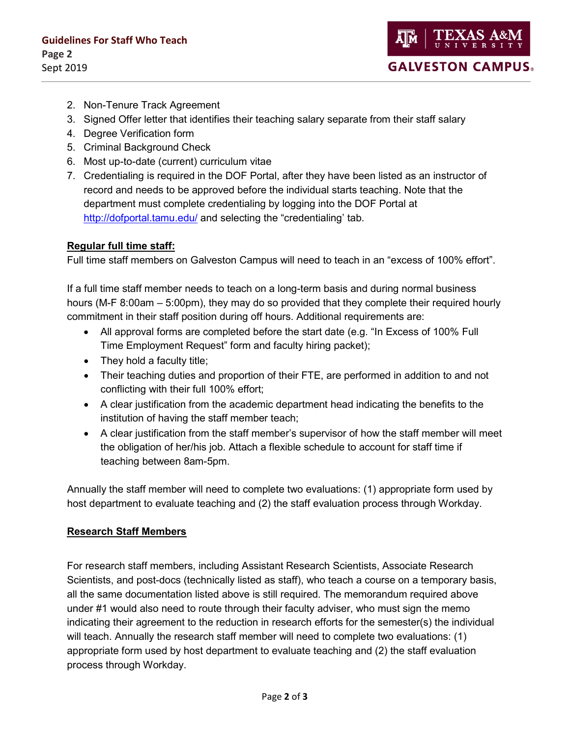- 2. Non-Tenure Track Agreement
- 3. Signed Offer letter that identifies their teaching salary separate from their staff salary
- 4. Degree Verification form
- 5. Criminal Background Check
- 6. Most up-to-date (current) curriculum vitae
- 7. Credentialing is required in the DOF Portal, after they have been listed as an instructor of record and needs to be approved before the individual starts teaching. Note that the department must complete credentialing by logging into the DOF Portal at <http://dofportal.tamu.edu/> and selecting the "credentialing' tab.

# **Regular full time staff:**

Full time staff members on Galveston Campus will need to teach in an "excess of 100% effort".

If a full time staff member needs to teach on a long-term basis and during normal business hours (M-F 8:00am – 5:00pm), they may do so provided that they complete their required hourly commitment in their staff position during off hours. Additional requirements are:

- All approval forms are completed before the start date (e.g. "In Excess of 100% Full Time Employment Request" form and faculty hiring packet);
- They hold a faculty title;
- Their teaching duties and proportion of their FTE, are performed in addition to and not conflicting with their full 100% effort;
- A clear justification from the academic department head indicating the benefits to the institution of having the staff member teach;
- A clear justification from the staff member's supervisor of how the staff member will meet the obligation of her/his job. Attach a flexible schedule to account for staff time if teaching between 8am-5pm.

Annually the staff member will need to complete two evaluations: (1) appropriate form used by host department to evaluate teaching and (2) the staff evaluation process through Workday.

#### **Research Staff Members**

For research staff members, including Assistant Research Scientists, Associate Research Scientists, and post-docs (technically listed as staff), who teach a course on a temporary basis, all the same documentation listed above is still required. The memorandum required above under #1 would also need to route through their faculty adviser, who must sign the memo indicating their agreement to the reduction in research efforts for the semester(s) the individual will teach. Annually the research staff member will need to complete two evaluations: (1) appropriate form used by host department to evaluate teaching and (2) the staff evaluation process through Workday.